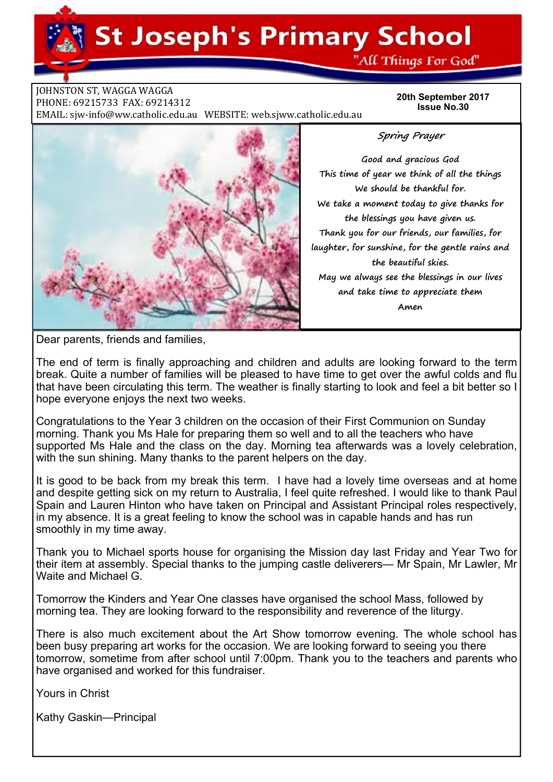## **St Joseph's Primary School**

"All Things For God"

**JOHNSTON ST, WAGGA WAGGA** PHONE: 69215733 FAX: 69214312 EMAIL: sjw-info@ww.catholic.edu.au WEBSITE: web.sjww.catholic.edu.au

**20th September 2017 Issue No.30** 



**Spring Prayer** 

**Good and gracious God This time of year we think of all the things We should be thankful for. We take a moment today to give thanks for the blessings you have given us. Thank you for our friends, our families, for laughter, for sunshine, for the gentle rains and the beautiful skies. May we always see the blessings in our lives and take time to appreciate them Amen** 

Dear parents, friends and families,

The end of term is finally approaching and children and adults are looking forward to the term break. Quite a number of families will be pleased to have time to get over the awful colds and flu that have been circulating this term. The weather is finally starting to look and feel a bit better so I hope everyone enjoys the next two weeks.

Congratulations to the Year 3 children on the occasion of their First Communion on Sunday morning. Thank you Ms Hale for preparing them so well and to all the teachers who have supported Ms Hale and the class on the day. Morning tea afterwards was a lovely celebration, with the sun shining. Many thanks to the parent helpers on the day.

It is good to be back from my break this term. I have had a lovely time overseas and at home and despite getting sick on my return to Australia, I feel quite refreshed. I would like to thank Paul Spain and Lauren Hinton who have taken on Principal and Assistant Principal roles respectively, in my absence. It is a great feeling to know the school was in capable hands and has run smoothly in my time away.

Thank you to Michael sports house for organising the Mission day last Friday and Year Two for their item at assembly. Special thanks to the jumping castle deliverers— Mr Spain, Mr Lawler, Mr Waite and Michael G

Tomorrow the Kinders and Year One classes have organised the school Mass, followed by morning tea. They are looking forward to the responsibility and reverence of the liturgy.

There is also much excitement about the Art Show tomorrow evening. The whole school has been busy preparing art works for the occasion. We are looking forward to seeing you there tomorrow, sometime from after school until 7:00pm. Thank you to the teachers and parents who have organised and worked for this fundraiser.

Yours in Christ

Kathy Gaskin—Principal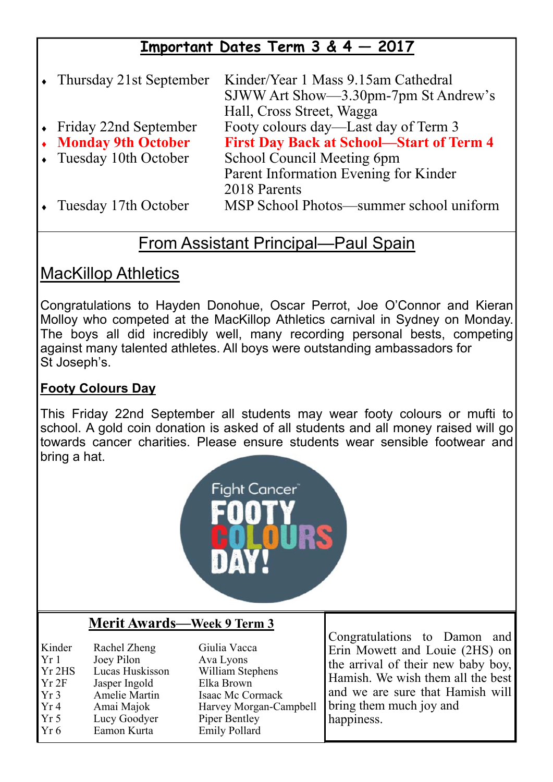### **Important Dates Term 3 & 4 — 2017**

• Thursday 21st September Kinder/Year 1 Mass 9.15am Cathedral SJWW Art Show—3.30pm-7pm St Andrew's Hall, Cross Street, Wagga<br>Friday 22nd September Footy colours day—Last o Friday 22nd September Footy colours day—Last day of Term 3<br>
• Monday 9th October First Day Back at School—Start of To **First Day Back at School—Start of Term 4**  Tuesday 10th October School Council Meeting 6pm Parent Information Evening for Kinder 2018 Parents Tuesday 17th October MSP School Photos—summer school uniform

#### From Assistant Principal—Paul Spain

#### MacKillop Athletics

Congratulations to Hayden Donohue, Oscar Perrot, Joe O'Connor and Kieran Molloy who competed at the MacKillop Athletics carnival in Sydney on Monday. The boys all did incredibly well, many recording personal bests, competing against many talented athletes. All boys were outstanding ambassadors for St Joseph's.

#### **Footy Colours Day**

This Friday 22nd September all students may wear footy colours or mufti to school. A gold coin donation is asked of all students and all money raised will go towards cancer charities. Please ensure students wear sensible footwear and bring a hat.



#### **Merit Awards—Week 9 Term 3**

Kinder Rachel Zheng Giulia Vacca Yr 1 Joev Pilon Ava Lyons Yr 2HS Lucas Huskisson William Stephens Yr 2F Jasper Ingold Elka Brown<br>Yr 3 Amelie Martin Isaac Mc Co Yr 3 Amelie Martin Isaac Mc Cormack Yr 4 Amai Majok Harvey Morgan-Campbell<br>Yr 5 Lucy Goodver Piper Bentley Lucy Goodyer Piper Bentley Yr 6 Eamon Kurta Emily Pollard

Congratulations to Damon and Erin Mowett and Louie (2HS) on the arrival of their new baby boy, Hamish. We wish them all the best and we are sure that Hamish will bring them much joy and happiness.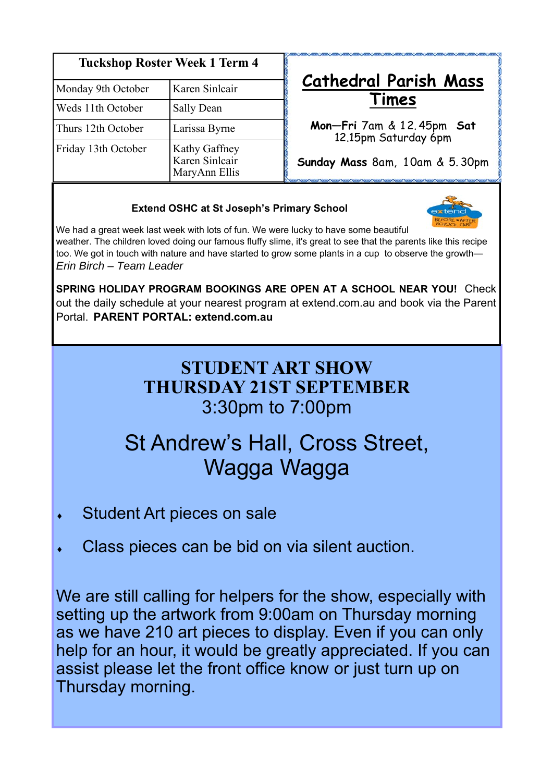| <b>Tuckshop Roster Week 1 Term 4</b> |                                                  |
|--------------------------------------|--------------------------------------------------|
| Monday 9th October                   | Karen Sinlcair                                   |
| Weds 11th October                    | Sally Dean                                       |
| Thurs 12th October                   | Larissa Byrne                                    |
| Friday 13th October                  | Kathy Gaffney<br>Karen Sinlcair<br>MaryAnn Ellis |

## **Cathedral Parish Mass Times**

**Mon—Fri** 7am & 1 2. 45pm **Sat** 12.15pm Saturday 6pm

**Sunday Mass** 8am, 1 0am & 5. 30pm

#### **Extend OSHC at St Joseph's Primary School**



We had a great week last week with lots of fun. We were lucky to have some beautiful weather. The children loved doing our famous fluffy slime, it's great to see that the parents like this recipe too. We got in touch with nature and have started to grow some plants in a cup to observe the growth— *Erin Birch – Team Leader* 

**SPRING HOLIDAY PROGRAM BOOKINGS ARE OPEN AT A SCHOOL NEAR YOU!** Check out the daily schedule at your nearest program at extend.com.au and book via the Parent Portal. **PARENT PORTAL: extend.com.au** 

## **STUDENT ART SHOW THURSDAY 21ST SEPTEMBER**  3:30pm to 7:00pm

## St Andrew's Hall, Cross Street, Wagga Wagga

- Student Art pieces on sale
- Class pieces can be bid on via silent auction.

We are still calling for helpers for the show, especially with setting up the artwork from 9:00am on Thursday morning as we have 210 art pieces to display. Even if you can only help for an hour, it would be greatly appreciated. If you can assist please let the front office know or just turn up on Thursday morning.